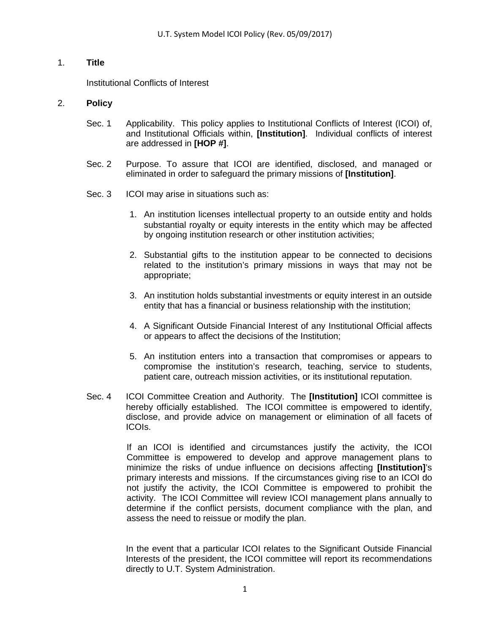# 1. **Title**

Institutional Conflicts of Interest

## 2. **Policy**

- Sec. 1 Applicability. This policy applies to Institutional Conflicts of Interest (ICOI) of, and Institutional Officials within, **[Institution]**. Individual conflicts of interest are addressed in **[HOP #]**.
- Sec. 2 Purpose. To assure that ICOI are identified, disclosed, and managed or eliminated in order to safeguard the primary missions of **[Institution]**.
- Sec. 3 ICOI may arise in situations such as:
	- 1. An institution licenses intellectual property to an outside entity and holds substantial royalty or equity interests in the entity which may be affected by ongoing institution research or other institution activities;
	- 2. Substantial gifts to the institution appear to be connected to decisions related to the institution's primary missions in ways that may not be appropriate;
	- 3. An institution holds substantial investments or equity interest in an outside entity that has a financial or business relationship with the institution;
	- 4. A Significant Outside Financial Interest of any Institutional Official affects or appears to affect the decisions of the Institution;
	- 5. An institution enters into a transaction that compromises or appears to compromise the institution's research, teaching, service to students, patient care, outreach mission activities, or its institutional reputation.
- Sec. 4 ICOI Committee Creation and Authority. The **[Institution]** ICOI committee is hereby officially established. The ICOI committee is empowered to identify, disclose, and provide advice on management or elimination of all facets of ICOIs.

If an ICOI is identified and circumstances justify the activity, the ICOI Committee is empowered to develop and approve management plans to minimize the risks of undue influence on decisions affecting **[Institution]**'s primary interests and missions. If the circumstances giving rise to an ICOI do not justify the activity, the ICOI Committee is empowered to prohibit the activity. The ICOI Committee will review ICOI management plans annually to determine if the conflict persists, document compliance with the plan, and assess the need to reissue or modify the plan.

In the event that a particular ICOI relates to the Significant Outside Financial Interests of the president, the ICOI committee will report its recommendations directly to U.T. System Administration.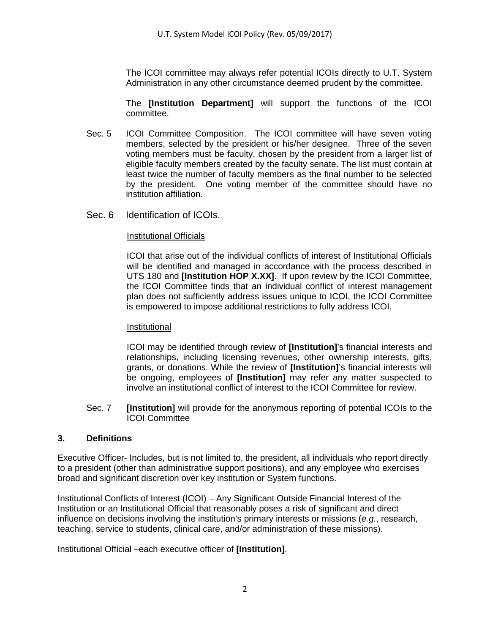The ICOI committee may always refer potential ICOIs directly to U.T. System Administration in any other circumstance deemed prudent by the committee.

The **[Institution Department]** will support the functions of the ICOI committee.

- Sec. 5 ICOI Committee Composition. The ICOI committee will have seven voting members, selected by the president or his/her designee. Three of the seven voting members must be faculty, chosen by the president from a larger list of eligible faculty members created by the faculty senate. The list must contain at least twice the number of faculty members as the final number to be selected by the president. One voting member of the committee should have no institution affiliation.
- Sec. 6 Identification of ICOIs.

### Institutional Officials

ICOI that arise out of the individual conflicts of interest of Institutional Officials will be identified and managed in accordance with the process described in UTS 180 and **[Institution HOP X.XX]**. If upon review by the ICOI Committee, the ICOI Committee finds that an individual conflict of interest management plan does not sufficiently address issues unique to ICOI, the ICOI Committee is empowered to impose additional restrictions to fully address ICOI.

#### Institutional

ICOI may be identified through review of **[Institution]**'s financial interests and relationships, including licensing revenues, other ownership interests, gifts, grants, or donations. While the review of **[Institution]**'s financial interests will be ongoing, employees of **[Institution]** may refer any matter suspected to involve an institutional conflict of interest to the ICOI Committee for review.

Sec. 7 **[Institution]** will provide for the anonymous reporting of potential ICOIs to the ICOI Committee

## **3. Definitions**

Executive Officer- Includes, but is not limited to, the president, all individuals who report directly to a president (other than administrative support positions), and any employee who exercises broad and significant discretion over key institution or System functions.

Institutional Conflicts of Interest (ICOI) – Any Significant Outside Financial Interest of the Institution or an Institutional Official that reasonably poses a risk of significant and direct influence on decisions involving the institution's primary interests or missions (*e.g.*, research, teaching, service to students, clinical care, and/or administration of these missions).

Institutional Official –each executive officer of **[Institution]**.